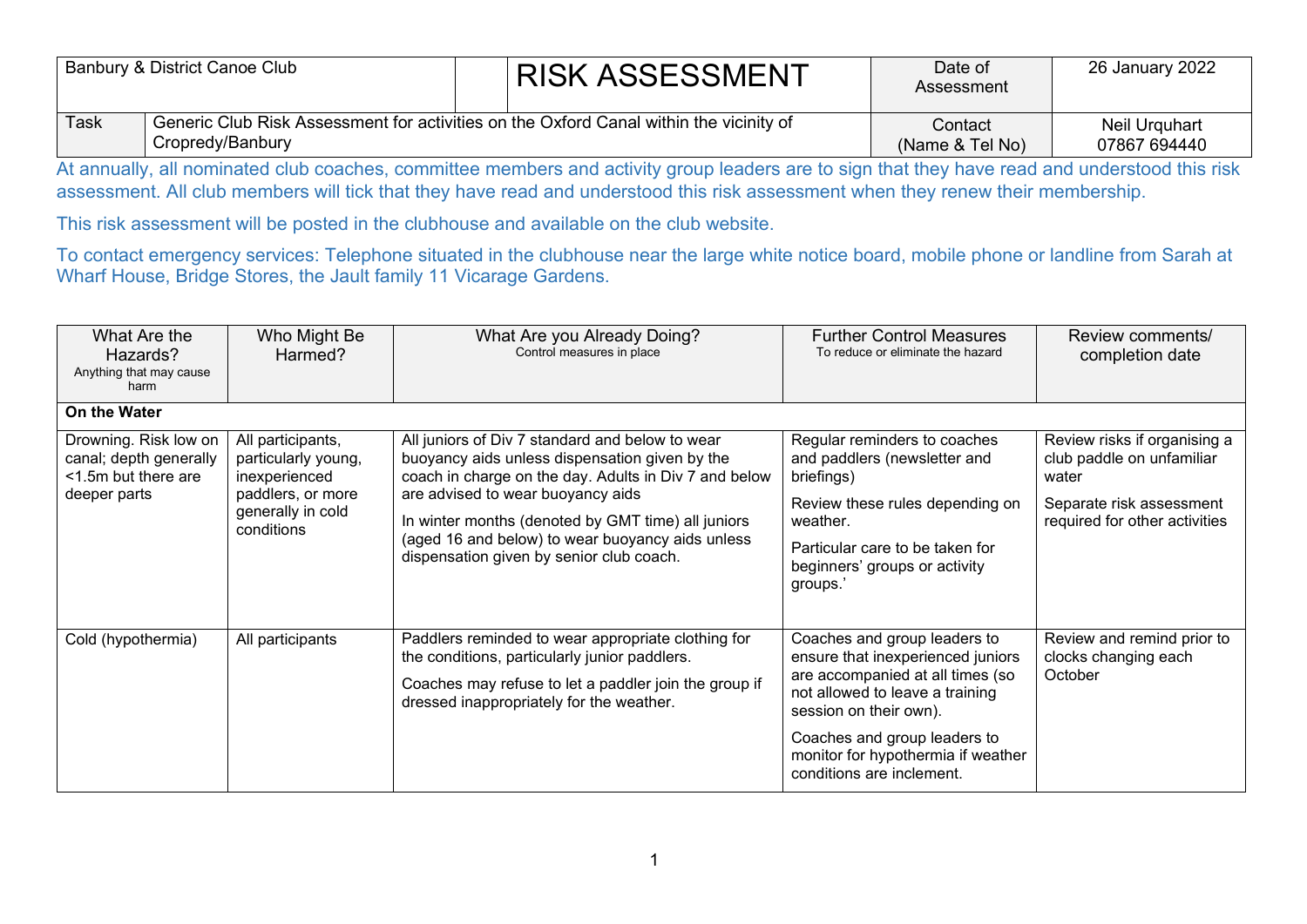| Banbury & District Canoe Club |                                                                                        | <b>RISK ASSESSMENT</b> | Date of<br>Assessment | 26 January 2022 |
|-------------------------------|----------------------------------------------------------------------------------------|------------------------|-----------------------|-----------------|
| <b>Task</b>                   | Generic Club Risk Assessment for activities on the Oxford Canal within the vicinity of |                        | Contact               | Neil Urguhart   |
|                               | Cropredy/Banbury                                                                       |                        | (Name & Tel No)       | 07867 694440    |

At annually, all nominated club coaches, committee members and activity group leaders are to sign that they have read and understood this risk assessment. All club members will tick that they have read and understood this risk assessment when they renew their membership.

This risk assessment will be posted in the clubhouse and available on the club website.

To contact emergency services: Telephone situated in the clubhouse near the large white notice board, mobile phone or landline from Sarah at Wharf House, Bridge Stores, the Jault family 11 Vicarage Gardens.

| What Are the<br>Hazards?<br>Anything that may cause<br>harm                            | Who Might Be<br>Harmed?                                                                                           | What Are you Already Doing?<br>Control measures in place                                                                                                                                                                                                                                                                                              | <b>Further Control Measures</b><br>To reduce or eliminate the hazard                                                                                                                                                                                                  | Review comments/<br>completion date                                                                                             |
|----------------------------------------------------------------------------------------|-------------------------------------------------------------------------------------------------------------------|-------------------------------------------------------------------------------------------------------------------------------------------------------------------------------------------------------------------------------------------------------------------------------------------------------------------------------------------------------|-----------------------------------------------------------------------------------------------------------------------------------------------------------------------------------------------------------------------------------------------------------------------|---------------------------------------------------------------------------------------------------------------------------------|
| On the Water                                                                           |                                                                                                                   |                                                                                                                                                                                                                                                                                                                                                       |                                                                                                                                                                                                                                                                       |                                                                                                                                 |
| Drowning. Risk low on<br>canal; depth generally<br><1.5m but there are<br>deeper parts | All participants,<br>particularly young,<br>inexperienced<br>paddlers, or more<br>generally in cold<br>conditions | All juniors of Div 7 standard and below to wear<br>buoyancy aids unless dispensation given by the<br>coach in charge on the day. Adults in Div 7 and below<br>are advised to wear buoyancy aids<br>In winter months (denoted by GMT time) all juniors<br>(aged 16 and below) to wear buoyancy aids unless<br>dispensation given by senior club coach. | Regular reminders to coaches<br>and paddlers (newsletter and<br>briefings)<br>Review these rules depending on<br>weather.<br>Particular care to be taken for<br>beginners' groups or activity<br>groups.'                                                             | Review risks if organising a<br>club paddle on unfamiliar<br>water<br>Separate risk assessment<br>required for other activities |
| Cold (hypothermia)                                                                     | All participants                                                                                                  | Paddlers reminded to wear appropriate clothing for<br>the conditions, particularly junior paddlers.<br>Coaches may refuse to let a paddler join the group if<br>dressed inappropriately for the weather.                                                                                                                                              | Coaches and group leaders to<br>ensure that inexperienced juniors<br>are accompanied at all times (so<br>not allowed to leave a training<br>session on their own).<br>Coaches and group leaders to<br>monitor for hypothermia if weather<br>conditions are inclement. | Review and remind prior to<br>clocks changing each<br>October                                                                   |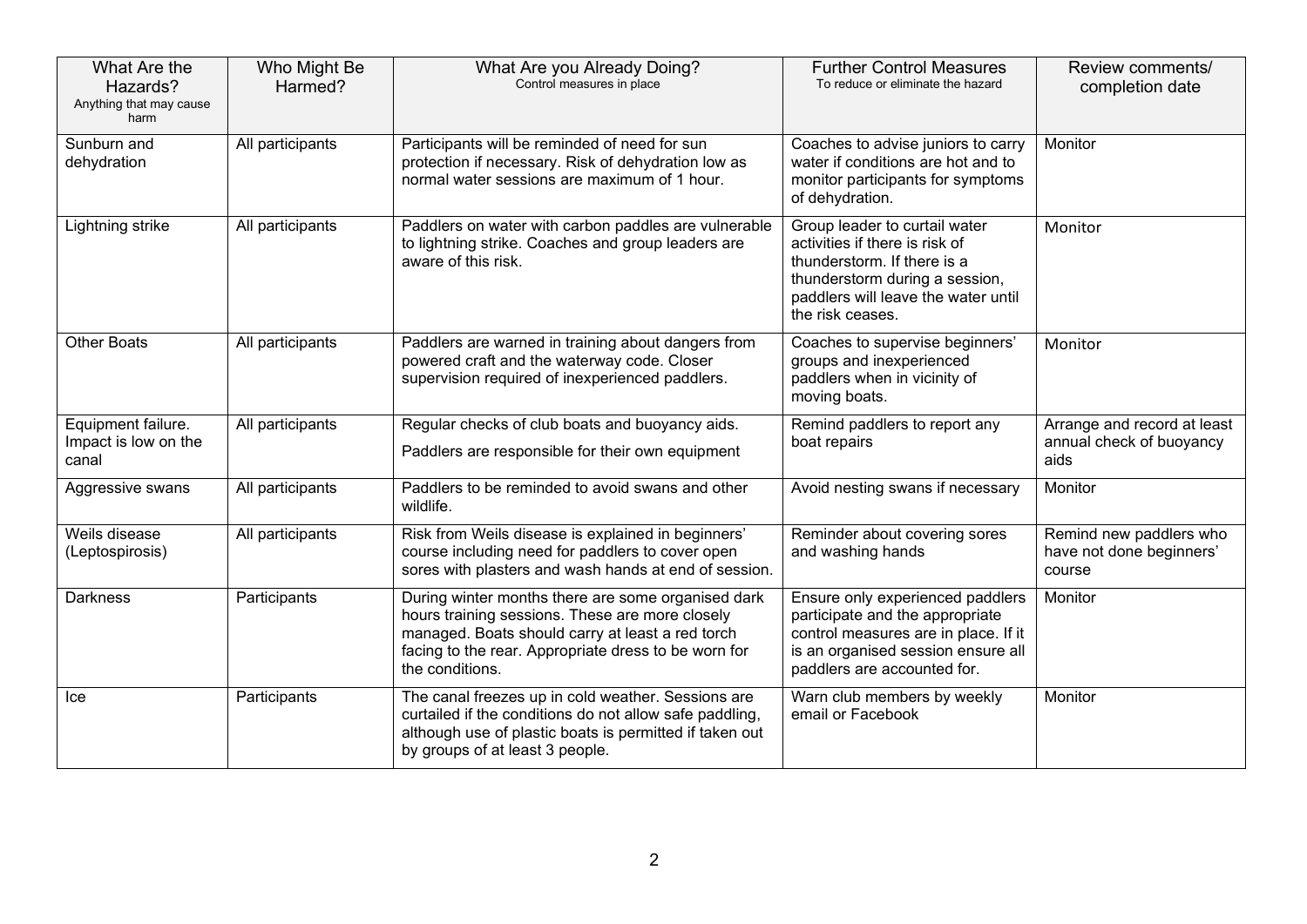| What Are the<br>Hazards?<br>Anything that may cause<br>harm | Who Might Be<br>Harmed?                                                                                                                                                                                                                                                                                      | What Are you Already Doing?<br>Control measures in place                                                                                                                                                                             | <b>Further Control Measures</b><br>To reduce or eliminate the hazard                                                                                                                        | Review comments/<br>completion date                             |
|-------------------------------------------------------------|--------------------------------------------------------------------------------------------------------------------------------------------------------------------------------------------------------------------------------------------------------------------------------------------------------------|--------------------------------------------------------------------------------------------------------------------------------------------------------------------------------------------------------------------------------------|---------------------------------------------------------------------------------------------------------------------------------------------------------------------------------------------|-----------------------------------------------------------------|
| Sunburn and<br>dehydration                                  | All participants<br>Participants will be reminded of need for sun<br>Coaches to advise juniors to carry<br>protection if necessary. Risk of dehydration low as<br>water if conditions are hot and to<br>normal water sessions are maximum of 1 hour.<br>monitor participants for symptoms<br>of dehydration. |                                                                                                                                                                                                                                      | Monitor                                                                                                                                                                                     |                                                                 |
| Lightning strike                                            | All participants                                                                                                                                                                                                                                                                                             | Paddlers on water with carbon paddles are vulnerable<br>to lightning strike. Coaches and group leaders are<br>aware of this risk.                                                                                                    | Group leader to curtail water<br>activities if there is risk of<br>thunderstorm. If there is a<br>thunderstorm during a session,<br>paddlers will leave the water until<br>the risk ceases. | Monitor                                                         |
| <b>Other Boats</b>                                          | All participants                                                                                                                                                                                                                                                                                             | Paddlers are warned in training about dangers from<br>powered craft and the waterway code. Closer<br>supervision required of inexperienced paddlers.                                                                                 | Coaches to supervise beginners'<br>groups and inexperienced<br>paddlers when in vicinity of<br>moving boats.                                                                                | Monitor                                                         |
| Equipment failure.<br>Impact is low on the<br>canal         | All participants                                                                                                                                                                                                                                                                                             | Regular checks of club boats and buoyancy aids.<br>Paddlers are responsible for their own equipment                                                                                                                                  | Remind paddlers to report any<br>boat repairs                                                                                                                                               | Arrange and record at least<br>annual check of buoyancy<br>aids |
| Aggressive swans                                            | All participants                                                                                                                                                                                                                                                                                             | Paddlers to be reminded to avoid swans and other<br>wildlife.                                                                                                                                                                        | Avoid nesting swans if necessary                                                                                                                                                            | Monitor                                                         |
| Weils disease<br>(Leptospirosis)                            | All participants                                                                                                                                                                                                                                                                                             | Risk from Weils disease is explained in beginners'<br>course including need for paddlers to cover open<br>sores with plasters and wash hands at end of session.                                                                      | Reminder about covering sores<br>and washing hands                                                                                                                                          | Remind new paddlers who<br>have not done beginners'<br>course   |
| <b>Darkness</b>                                             | Participants                                                                                                                                                                                                                                                                                                 | During winter months there are some organised dark<br>hours training sessions. These are more closely<br>managed. Boats should carry at least a red torch<br>facing to the rear. Appropriate dress to be worn for<br>the conditions. | Ensure only experienced paddlers<br>participate and the appropriate<br>control measures are in place. If it<br>is an organised session ensure all<br>paddlers are accounted for.            | Monitor                                                         |
| Ice                                                         | Participants                                                                                                                                                                                                                                                                                                 | The canal freezes up in cold weather. Sessions are<br>curtailed if the conditions do not allow safe paddling,<br>although use of plastic boats is permitted if taken out<br>by groups of at least 3 people.                          | Warn club members by weekly<br>email or Facebook                                                                                                                                            | Monitor                                                         |